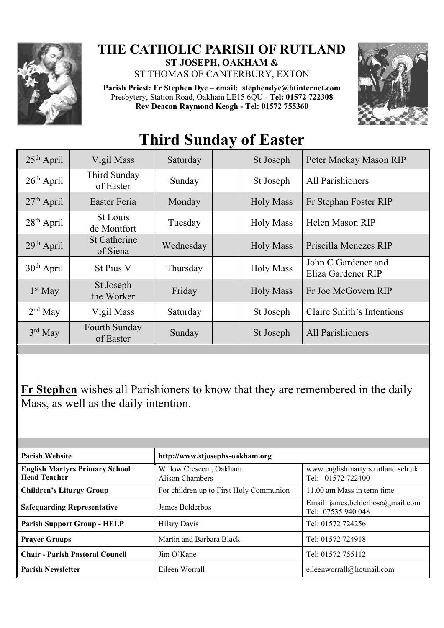

## **THE CATHOLIC PARISH OF RUTLAND ST JOSEPH, OAKHAM &**

ST THOMAS OF CANTERBURY, EXTON

**Parish Priest: Fr Stephen Dye** – **[email: stephendye@btinternet.com](mailto:email:%20%20stephendye@btinternet.com)** Presbytery, Station Road, Oakham LE15 6QU - **Tel: 01572 722308 Rev Deacon Raymond Keogh - Tel: 01572 755360**



## 25<sup>th</sup> April | Vigil Mass | Saturday | St Joseph Peter Mackay Mason RIP 26<sup>th</sup> April Third Sunday<br>of Easter Sunday St Joseph All Parishioners 27<sup>th</sup> April Easter Feria | Monday | Holy Mass | Fr Stephan Foster RIP  $28<sup>th</sup>$  April St Louis St Louis<br>de Montfort Tuesday Holy Mass Helen Mason RIP 29<sup>th</sup> April St Catherine<br>of Siena Wednesday | Holy Mass | Priscilla Menezes RIP  $30<sup>th</sup>$  April St Pius V Thursday Holy Mass John C Gardener and Eliza Gardener RIP  $1<sup>st</sup>$  May St Joseph<br>the Worker Friday | Holy Mass | Fr Joe McGovern RIP  $2<sup>nd</sup>$  May Vigil Mass | Saturday | St Joseph | Claire Smith's Intentions 3rd May Fourth Sunday<br>of Easter Sunday | St Joseph | All Parishioners

## **Third Sunday of Easter**

**Fr Stephen** wishes all Parishioners to know that they are remembered in the daily Mass, as well as the daily intention.

| <b>Parish Website</b>                                        | http://www.stjosephs-oakham.org            |                                                        |
|--------------------------------------------------------------|--------------------------------------------|--------------------------------------------------------|
| <b>English Martyrs Primary School</b><br><b>Head Teacher</b> | Willow Crescent, Oakham<br>Alison Chambers | www.englishmartyrs.rutland.sch.uk<br>Tel: 01572 722400 |
| <b>Children's Liturgy Group</b>                              | For children up to First Holy Communion    | 11.00 am Mass in term time                             |
| <b>Safeguarding Representative</b>                           | James Belderbos                            | Email: james.belderbos@gmail.com<br>Tel: 07535 940 048 |
| <b>Parish Support Group - HELP</b>                           | <b>Hilary Davis</b>                        | Tel: 01572 724256                                      |
| <b>Prayer Groups</b>                                         | Martin and Barbara Black                   | Tel: 01572 724918                                      |
| <b>Chair - Parish Pastoral Council</b>                       | Jim O'Kane                                 | Tel: 01572 755112                                      |
| <b>Parish Newsletter</b>                                     | Eileen Worrall                             | eileenworrall@hotmail.com                              |